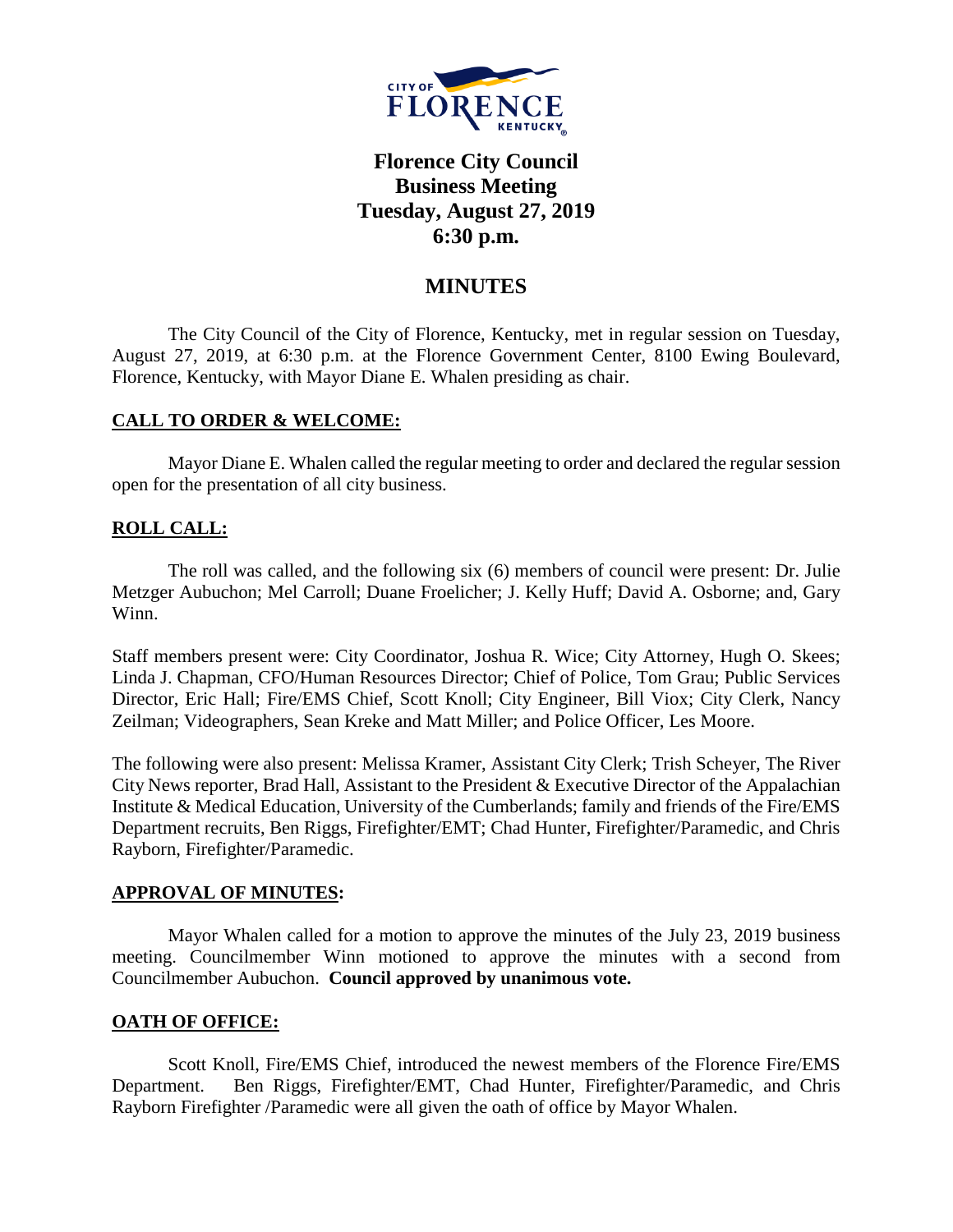

# **Florence City Council Business Meeting Tuesday, August 27, 2019 6:30 p.m.**

# **MINUTES**

The City Council of the City of Florence, Kentucky, met in regular session on Tuesday, August 27, 2019, at 6:30 p.m. at the Florence Government Center, 8100 Ewing Boulevard, Florence, Kentucky, with Mayor Diane E. Whalen presiding as chair.

# **CALL TO ORDER & WELCOME:**

Mayor Diane E. Whalen called the regular meeting to order and declared the regular session open for the presentation of all city business.

# **ROLL CALL:**

The roll was called, and the following six (6) members of council were present: Dr. Julie Metzger Aubuchon; Mel Carroll; Duane Froelicher; J. Kelly Huff; David A. Osborne; and, Gary Winn.

Staff members present were: City Coordinator, Joshua R. Wice; City Attorney, Hugh O. Skees; Linda J. Chapman, CFO/Human Resources Director; Chief of Police, Tom Grau; Public Services Director, Eric Hall; Fire/EMS Chief, Scott Knoll; City Engineer, Bill Viox; City Clerk, Nancy Zeilman; Videographers, Sean Kreke and Matt Miller; and Police Officer, Les Moore.

The following were also present: Melissa Kramer, Assistant City Clerk; Trish Scheyer, The River City News reporter, Brad Hall, Assistant to the President & Executive Director of the Appalachian Institute & Medical Education, University of the Cumberlands; family and friends of the Fire/EMS Department recruits, Ben Riggs, Firefighter/EMT; Chad Hunter, Firefighter/Paramedic, and Chris Rayborn, Firefighter/Paramedic.

### **APPROVAL OF MINUTES:**

Mayor Whalen called for a motion to approve the minutes of the July 23, 2019 business meeting. Councilmember Winn motioned to approve the minutes with a second from Councilmember Aubuchon. **Council approved by unanimous vote.**

### **OATH OF OFFICE:**

Scott Knoll, Fire/EMS Chief, introduced the newest members of the Florence Fire/EMS Department. Ben Riggs, Firefighter/EMT, Chad Hunter, Firefighter/Paramedic, and Chris Rayborn Firefighter /Paramedic were all given the oath of office by Mayor Whalen.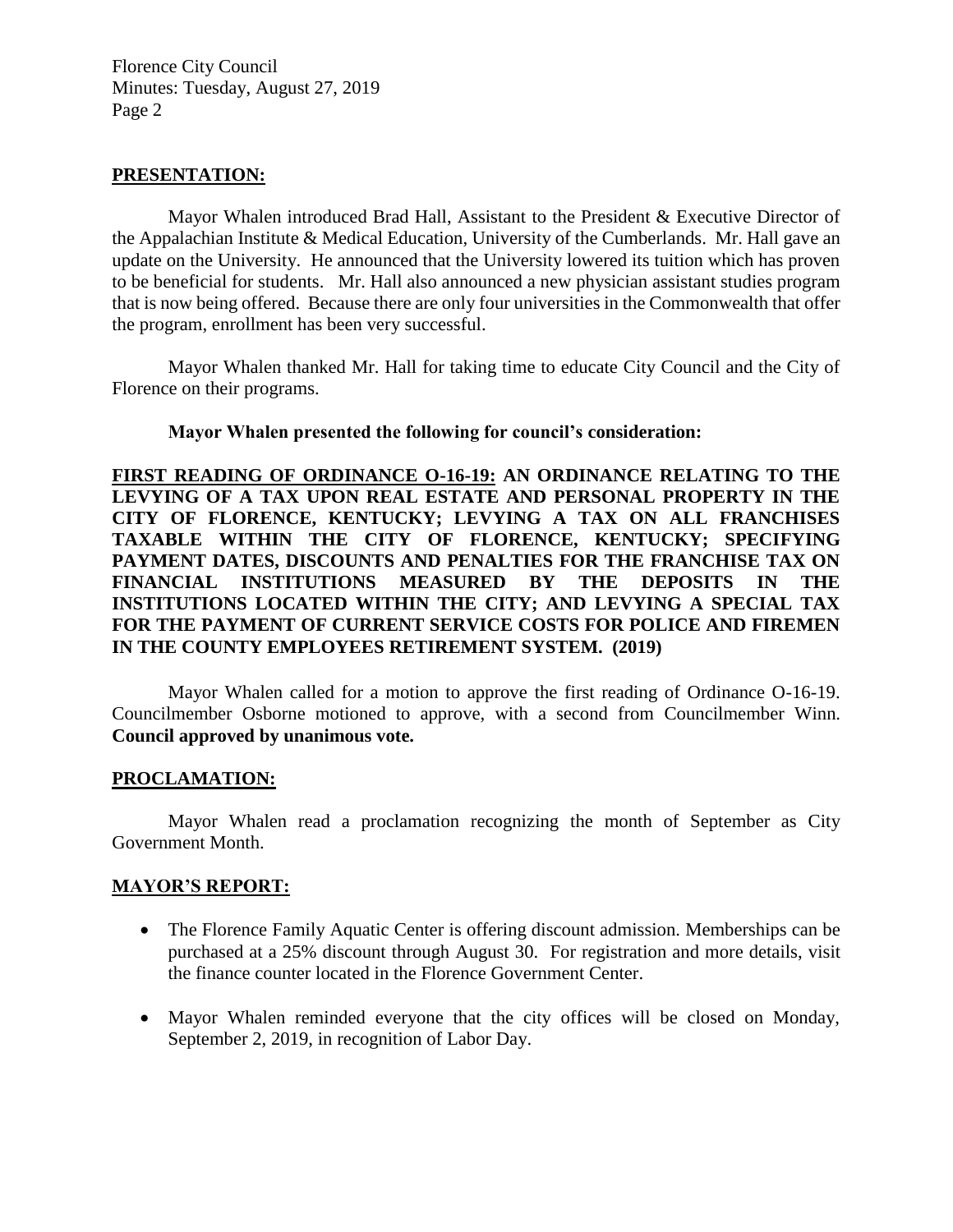Florence City Council Minutes: Tuesday, August 27, 2019 Page 2

### **PRESENTATION:**

Mayor Whalen introduced Brad Hall, Assistant to the President & Executive Director of the Appalachian Institute & Medical Education, University of the Cumberlands. Mr. Hall gave an update on the University. He announced that the University lowered its tuition which has proven to be beneficial for students. Mr. Hall also announced a new physician assistant studies program that is now being offered. Because there are only four universities in the Commonwealth that offer the program, enrollment has been very successful.

Mayor Whalen thanked Mr. Hall for taking time to educate City Council and the City of Florence on their programs.

#### **Mayor Whalen presented the following for council's consideration:**

**FIRST READING OF ORDINANCE O-16-19: AN ORDINANCE RELATING TO THE LEVYING OF A TAX UPON REAL ESTATE AND PERSONAL PROPERTY IN THE CITY OF FLORENCE, KENTUCKY; LEVYING A TAX ON ALL FRANCHISES TAXABLE WITHIN THE CITY OF FLORENCE, KENTUCKY; SPECIFYING PAYMENT DATES, DISCOUNTS AND PENALTIES FOR THE FRANCHISE TAX ON FINANCIAL INSTITUTIONS MEASURED BY THE DEPOSITS IN THE INSTITUTIONS LOCATED WITHIN THE CITY; AND LEVYING A SPECIAL TAX FOR THE PAYMENT OF CURRENT SERVICE COSTS FOR POLICE AND FIREMEN IN THE COUNTY EMPLOYEES RETIREMENT SYSTEM. (2019)**

Mayor Whalen called for a motion to approve the first reading of Ordinance O-16-19. Councilmember Osborne motioned to approve, with a second from Councilmember Winn. **Council approved by unanimous vote.**

#### **PROCLAMATION:**

Mayor Whalen read a proclamation recognizing the month of September as City Government Month.

### **MAYOR'S REPORT:**

- The Florence Family Aquatic Center is offering discount admission. Memberships can be purchased at a 25% discount through August 30. For registration and more details, visit the finance counter located in the Florence Government Center.
- Mayor Whalen reminded everyone that the city offices will be closed on Monday, September 2, 2019, in recognition of Labor Day.